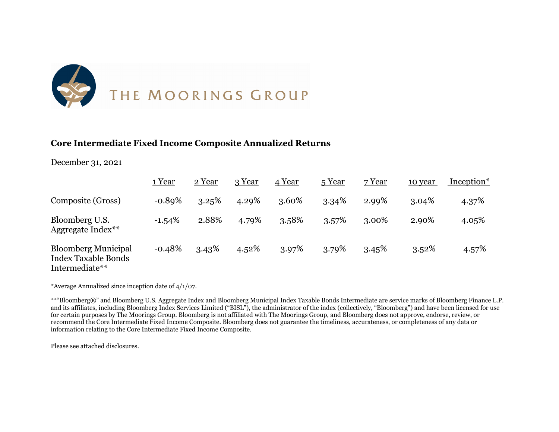

### **Core Intermediate Fixed Income Composite Annualized Returns**

#### December 31, 2021

|                                                                            | 1 Year   | 2 Year | 3 Year | 4 Year | 5 Year | 7 Year | 10 year  | Inception* |
|----------------------------------------------------------------------------|----------|--------|--------|--------|--------|--------|----------|------------|
| Composite (Gross)                                                          | $-0.89%$ | 3.25%  | 4.29%  | 3.60%  | 3.34%  | 2.99%  | $3.04\%$ | 4.37%      |
| Bloomberg U.S.<br>Aggregate Index**                                        | $-1.54%$ | 2.88%  | 4.79%  | 3.58%  | 3.57%  | 3.00%  | 2.90%    | 4.05%      |
| <b>Bloomberg Municipal</b><br><b>Index Taxable Bonds</b><br>Intermediate** | $-0.48%$ | 3.43%  | 4.52%  | 3.97%  | 3.79%  | 3.45%  | 3.52%    | 4.57%      |

\*Average Annualized since inception date of 4/1/07.

\*\*"Bloomberg®" and Bloomberg U.S. Aggregate Index and Bloomberg Municipal Index Taxable Bonds Intermediate are service marks of Bloomberg Finance L.P. and its affiliates, including Bloomberg Index Services Limited ("BISL"), the administrator of the index (collectively, "Bloomberg") and have been licensed for use for certain purposes by The Moorings Group. Bloomberg is not affiliated with The Moorings Group, and Bloomberg does not approve, endorse, review, or recommend the Core Intermediate Fixed Income Composite. Bloomberg does not guarantee the timeliness, accurateness, or completeness of any data or information relating to the Core Intermediate Fixed Income Composite.

Please see attached disclosures.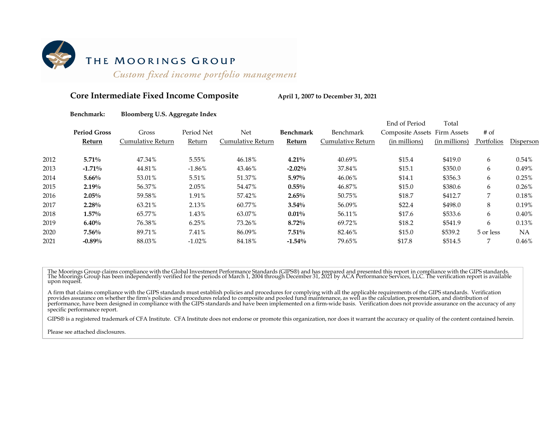

# THE MOORINGS GROUP

Custom fixed income portfolio management

#### Core Intermediate Fixed Income Composite **April 1, 2007** to December 31, 2021

#### **Benchmark: Bloomberg U.S. Aggregate Index**

|      |                     |                   |            |                   |                  |                   | End of Period                | Total         |            |           |
|------|---------------------|-------------------|------------|-------------------|------------------|-------------------|------------------------------|---------------|------------|-----------|
|      | <b>Period Gross</b> | Gross             | Period Net | Net               | <b>Benchmark</b> | Benchmark         | Composite Assets Firm Assets |               | $#$ of     |           |
|      | Return              | Cumulative Return | Return     | Cumulative Return | Return           | Cumulative Return | (in millions)                | (in millions) | Portfolios | Disperson |
| 2012 | $5.71\%$            | 47.34%            | 5.55%      | 46.18%            | $4.21\%$         | 40.69%            | \$15.4                       | \$419.0       | 6          | 0.54%     |
| 2013 | $-1.71%$            | 44.81%            | $-1.86\%$  | 43.46%            | $-2.02%$         | 37.84%            | \$15.1                       | \$350.0       | 6          | 0.49%     |
| 2014 | $5.66\%$            | 53.01%            | 5.51%      | 51.37%            | $5.97\%$         | 46.06%            | \$14.1                       | \$356.3       | 6          | 0.25%     |
| 2015 | $2.19\%$            | 56.37%            | 2.05%      | 54.47%            | $0.55\%$         | 46.87%            | \$15.0                       | \$380.6       | 6          | 0.26%     |
| 2016 | $2.05\%$            | 59.58%            | 1.91%      | 57.42%            | $2.65\%$         | 50.75%            | \$18.7                       | \$412.7       | 7          | 0.18%     |
| 2017 | $2.28\%$            | 63.21%            | 2.13%      | 60.77%            | $3.54\%$         | 56.09%            | \$22.4                       | \$498.0       | 8          | 0.19%     |
| 2018 | $1.57\%$            | 65.77%            | 1.43%      | 63.07%            | $0.01\%$         | 56.11%            | \$17.6                       | \$533.6       | 6          | 0.40%     |
| 2019 | 6.40%               | 76.38%            | 6.25%      | 73.26%            | $8.72\%$         | 69.72%            | \$18.2                       | \$541.9       | 6          | 0.13%     |
| 2020 | $7.56\%$            | 89.71%            | 7.41%      | 86.09%            | $7.51\%$         | 82.46%            | \$15.0                       | \$539.2       | 5 or less  | NA        |
| 2021 | $-0.89%$            | 88.03%            | $-1.02%$   | 84.18%            | $-1.54%$         | 79.65%            | \$17.8                       | \$514.5       | 7          | 0.46%     |

The Moorings Group claims compliance with the Global Investment Performance Standards (GIPS®) and has prepared and presented this report in compliance with the GIPS standards.<br>The Moorings Group has been independently veri

A firm that claims compliance with the GIPS standards must establish policies and procedures for complying with all the applicable requirements of the GIPS standards. Verification provides assurance on whether the firm's p performance, have been designed in compliance with the GIPS standards and have been implemented on a firm-wide basis. Verification does not provide assurance on the accuracy of any specific performance report.

GIPS® is a registered trademark of CFA Institute. CFA Institute does not endorse or promote this organization, nor does it warrant the accuracy or quality of the content contained herein.

Please see attached disclosures.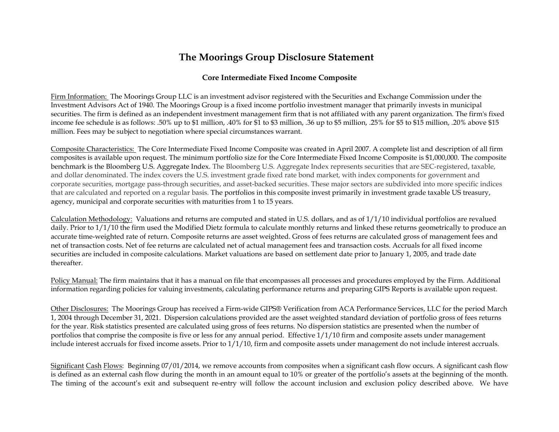## **The Moorings Group Disclosure Statement**

#### **Core Intermediate Fixed Income Composite**

Firm Information: The Moorings Group LLC is an investment advisor registered with the Securities and Exchange Commission under the Investment Advisors Act of 1940. The Moorings Group is a fixed income portfolio investment manager that primarily invests in municipal securities. The firm is defined as an independent investment management firm that is not affiliated with any parent organization. The firm's fixed income fee schedule is as follows: .50% up to \$1 million, .40% for \$1 to \$3 million, .36 up to \$5 million, .25% for \$5 to \$15 million, .20% above \$15 million. Fees may be subject to negotiation where special circumstances warrant.

Composite Characteristics: The Core Intermediate Fixed Income Composite was created in April 2007. A complete list and description of all firm composites is available upon request. The minimum portfolio size for the Core Intermediate Fixed Income Composite is \$1,000,000. The composite benchmark is the Bloomberg U.S. Aggregate Index. The Bloomberg U.S. Aggregate Index represents securities that are SEC-registered, taxable, and dollar denominated. The index covers the U.S. investment grade fixed rate bond market, with index components for government and corporate securities, mortgage pass-through securities, and asset-backed securities. These major sectors are subdivided into more specific indices that are calculated and reported on a regular basis. The portfolios in this composite invest primarily in investment grade taxable US treasury, agency, municipal and corporate securities with maturities from 1 to 15 years.

Calculation Methodology: Valuations and returns are computed and stated in U.S. dollars, and as of 1/1/10 individual portfolios are revalued daily. Prior to 1/1/10 the firm used the Modified Dietz formula to calculate monthly returns and linked these returns geometrically to produce an accurate time-weighted rate of return. Composite returns are asset weighted. Gross of fees returns are calculated gross of management fees and net of transaction costs. Net of fee returns are calculated net of actual management fees and transaction costs. Accruals for all fixed income securities are included in composite calculations. Market valuations are based on settlement date prior to January 1, 2005, and trade date thereafter.

Policy Manual: The firm maintains that it has a manual on file that encompasses all processes and procedures employed by the Firm. Additional information regarding policies for valuing investments, calculating performance returns and preparing GIPS Reports is available upon request.

Other Disclosures: The Moorings Group has received a Firm-wide GIPS® Verification from ACA Performance Services, LLC for the period March 1, 2004 through December 31, 2021. Dispersion calculations provided are the asset weighted standard deviation of portfolio gross of fees returns for the year. Risk statistics presented are calculated using gross of fees returns. No dispersion statistics are presented when the number of portfolios that comprise the composite is five or less for any annual period. Effective 1/1/10 firm and composite assets under management include interest accruals for fixed income assets. Prior to 1/1/10, firm and composite assets under management do not include interest accruals.

Significant Cash Flows: Beginning 07/01/2014, we remove accounts from composites when a significant cash flow occurs. A significant cash flow is defined as an external cash flow during the month in an amount equal to 10% or greater of the portfolio's assets at the beginning of the month. The timing of the account's exit and subsequent re-entry will follow the account inclusion and exclusion policy described above. We have